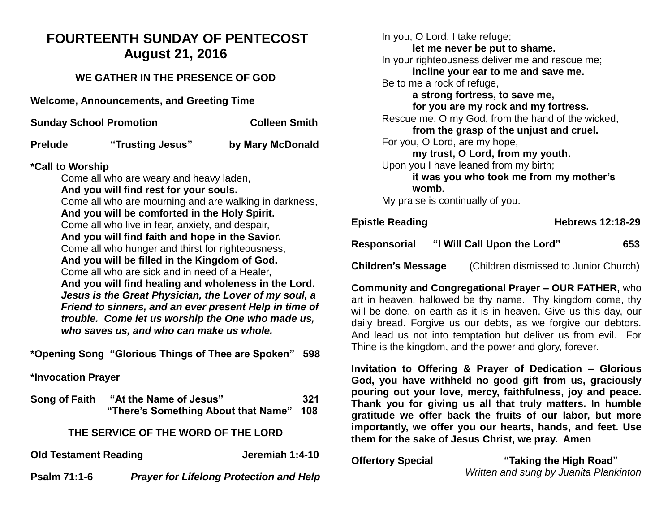# **FOURTEENTH SUNDAY OF PENTECOST August 21, 2016**

## **WE GATHER IN THE PRESENCE OF GOD**

**Welcome, Announcements, and Greeting Time** 

| <b>Sunday School Promotion</b> | <b>Colleen Smith</b> |
|--------------------------------|----------------------|
|                                |                      |

**Prelude "Trusting Jesus" by Mary McDonald**

#### **\*Call to Worship**

Come all who are weary and heavy laden, **And you will find rest for your souls.** Come all who are mourning and are walking in darkness, **And you will be comforted in the Holy Spirit.** Come all who live in fear, anxiety, and despair, **And you will find faith and hope in the Savior.** Come all who hunger and thirst for righteousness, **And you will be filled in the Kingdom of God.** Come all who are sick and in need of a Healer, **And you will find healing and wholeness in the Lord.** *Jesus is the Great Physician, the Lover of my soul, a Friend to sinners, and an ever present Help in time of trouble. Come let us worship the One who made us, who saves us, and who can make us whole.* 

**\*Opening Song "Glorious Things of Thee are Spoken" 598** 

**\*Invocation Prayer** 

| Song of Faith                       | "At the Name of Jesus"<br>"There's Something About that Name" | 321<br>108 |  |  |  |
|-------------------------------------|---------------------------------------------------------------|------------|--|--|--|
| THE SERVICE OF THE WORD OF THE LORD |                                                               |            |  |  |  |
| <b>Old Testament Reading</b>        | Jeremiah 1:4-10                                               |            |  |  |  |
| <b>Psalm 71:1-6</b>                 | <b>Prayer for Lifelong Protection and Help</b>                |            |  |  |  |

In you, O Lord, I take refuge; **let me never be put to shame.** In your righteousness deliver me and rescue me; **incline your ear to me and save me.** Be to me a rock of refuge, **a strong fortress, to save me, for you are my rock and my fortress.** Rescue me, O my God, from the hand of the wicked, **from the grasp of the unjust and cruel.** For you, O Lord, are my hope, **my trust, O Lord, from my youth.** Upon you I have leaned from my birth; **it was you who took me from my mother's womb.** My praise is continually of you. **Epistle Reading Hebrews 12:18-29**

| Epistle Reading |                             | <b>HEDIEWS 14.10-49</b> |     |
|-----------------|-----------------------------|-------------------------|-----|
| Responsorial    | "I Will Call Upon the Lord" |                         | 653 |

**Children's Message** (Children dismissed to Junior Church)

**Community and Congregational Prayer – OUR FATHER,** who art in heaven, hallowed be thy name. Thy kingdom come, thy will be done, on earth as it is in heaven. Give us this day, our daily bread. Forgive us our debts, as we forgive our debtors. And lead us not into temptation but deliver us from evil. For Thine is the kingdom, and the power and glory, forever.

**Invitation to Offering & Prayer of Dedication – Glorious God, you have withheld no good gift from us, graciously pouring out your love, mercy, faithfulness, joy and peace. Thank you for giving us all that truly matters. In humble gratitude we offer back the fruits of our labor, but more importantly, we offer you our hearts, hands, and feet. Use them for the sake of Jesus Christ, we pray. Amen** 

**Offertory Special "Taking the High Road"**  *Written and sung by Juanita Plankinton*